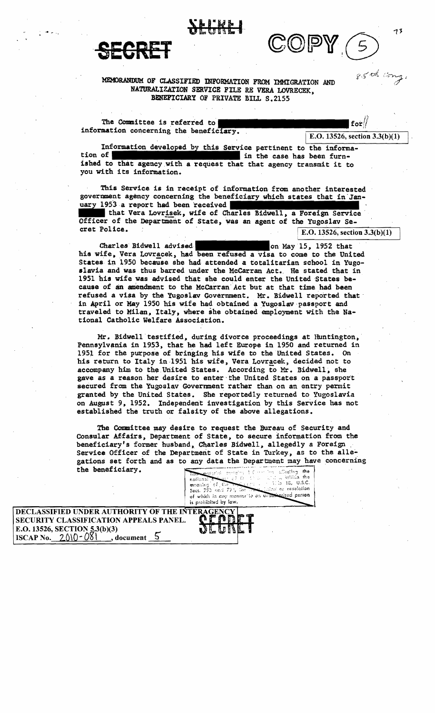



## MEMORANDUM OF CLASSIFIED INFORMATION FROM IMMIGRATION AND NATURALIZATION SERVICE FILE RE VERA LOVRECEK, BBNEPICIARY OF PRIVAtE BILL S.2155

The Committee is referred to information concerning the benef

 $\boxed{\text{E.O. 13526, section 3.3(b)(1)}}$ 

 $f$ or $\frac{1}{2}$ 

Information developed by this Service pertinent to the information of in the case has been furnished to that agency.with a request that that agency transmit it to you with its information.

This Service is in receipt of information from another interested government agency concerning the beneficiary which states that in Jan-<br>uary 1953 a report had been received

that Vera Lovrisek, wife of Charles Bidwell, a Foreign Service Officer of the Department of State, was an agent of the Yugoslav Secret Police. . E.O. 13526, section 3.3(b)(l)

on May 15, 1952 that Charles Bidwell advised his wife, Vera Lovracek, had been refused a visa to come to the United States in 1950 because she had attended a totalitarian school in Yugoslavia and was thus barred under the McCarran Act. He stated that in 1951 his wife was advised that she could enter the United States because of an amendment to the McCarran Act but at that time had been refused a visa by the Yugoslav Government. Mr. Bidwell reported that' in April or Kay 1950 his wife had obtained a Yugoslav passport and traveled to Milan, Italy, where she obtained employment with the National Catholic Welfare Association. .

Mr. Bidwell testified, during divorce proceedings at Huntington, Pennsylvania in 1953, that he had left Europe in 1950 and returned in 1951 for the purpose of bringing his wife to the United States. On his return to Italy in 1951 his wife, Vera Lovracek, decided not to accompany him to the United States. According to Mr. Bidwell, she gave as a reason her desire to enter the United States on a passport secured from the Yugoslav Government rather than on an entry permit granted by the United States. She reportedly returned to Yugoslavia on August 9, 1952. Independent investigation by this Service has not established the truth or falsity of the above allegations.

the Committee may desire to request the Bureau of Security and Consular Affairs, Department of State, to secure information from the beneficiary's former husband, Charles Bidwell, allegedly a Foreign . Service Officer of the Department of State in Turkey, as to the allegations set forth and as to any data the Department may have concerning the beneficiary. the beneficiary.

of which is entitled if the control which the meaning of the control of the control of the control of which is eny manuter to an underlocated person nolicas meaning of the compared is prohibited by law.

85th ang.